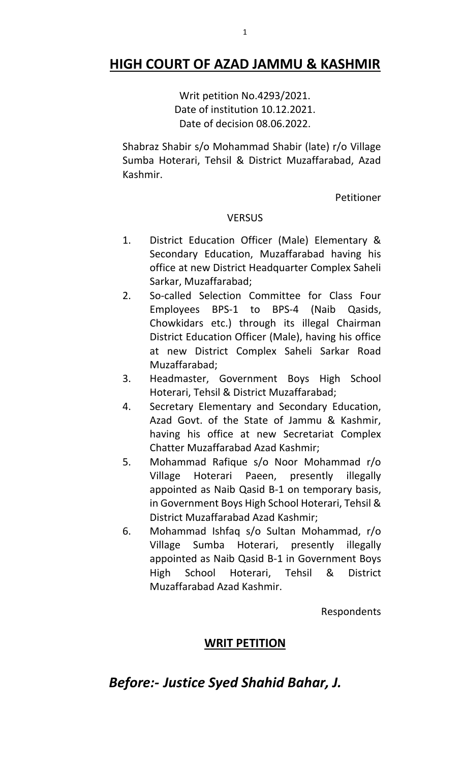## **HIGH COURT OF AZAD JAMMU & KASHMIR**

Writ petition No.4293/2021. Date of institution 10.12.2021. Date of decision 08.06.2022.

Shabraz Shabir s/o Mohammad Shabir (late) r/o Village Sumba Hoterari, Tehsil & District Muzaffarabad, Azad Kashmir.

Petitioner

### **VERSUS**

- 1. District Education Officer (Male) Elementary & Secondary Education, Muzaffarabad having his office at new District Headquarter Complex Saheli Sarkar, Muzaffarabad;
- 2. So-called Selection Committee for Class Four Employees BPS-1 to BPS-4 (Naib Qasids, Chowkidars etc.) through its illegal Chairman District Education Officer (Male), having his office at new District Complex Saheli Sarkar Road Muzaffarabad;
- 3. Headmaster, Government Boys High School Hoterari, Tehsil & District Muzaffarabad;
- 4. Secretary Elementary and Secondary Education, Azad Govt. of the State of Jammu & Kashmir, having his office at new Secretariat Complex Chatter Muzaffarabad Azad Kashmir;
- 5. Mohammad Rafique s/o Noor Mohammad r/o Village Hoterari Paeen, presently illegally appointed as Naib Qasid B-1 on temporary basis, in Government Boys High School Hoterari, Tehsil & District Muzaffarabad Azad Kashmir;
- 6. Mohammad Ishfaq s/o Sultan Mohammad, r/o Village Sumba Hoterari, presently illegally appointed as Naib Qasid B-1 in Government Boys High School Hoterari, Tehsil & District Muzaffarabad Azad Kashmir.

Respondents

### **WRIT PETITION**

# *Before:- Justice Syed Shahid Bahar, J.*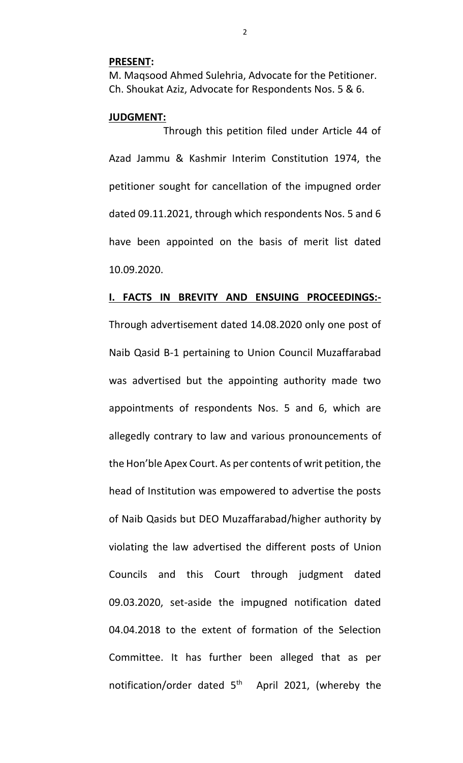#### **PRESENT:**

M. Maqsood Ahmed Sulehria, Advocate for the Petitioner. Ch. Shoukat Aziz, Advocate for Respondents Nos. 5 & 6.

#### **JUDGMENT:**

Through this petition filed under Article 44 of Azad Jammu & Kashmir Interim Constitution 1974, the petitioner sought for cancellation of the impugned order dated 09.11.2021, through which respondents Nos. 5 and 6 have been appointed on the basis of merit list dated 10.09.2020.

#### **I. FACTS IN BREVITY AND ENSUING PROCEEDINGS:-**

Through advertisement dated 14.08.2020 only one post of Naib Qasid B-1 pertaining to Union Council Muzaffarabad was advertised but the appointing authority made two appointments of respondents Nos. 5 and 6, which are allegedly contrary to law and various pronouncements of the Hon'ble Apex Court. As per contents of writ petition, the head of Institution was empowered to advertise the posts of Naib Qasids but DEO Muzaffarabad/higher authority by violating the law advertised the different posts of Union Councils and this Court through judgment dated 09.03.2020, set-aside the impugned notification dated 04.04.2018 to the extent of formation of the Selection Committee. It has further been alleged that as per notification/order dated  $5<sup>th</sup>$  April 2021, (whereby the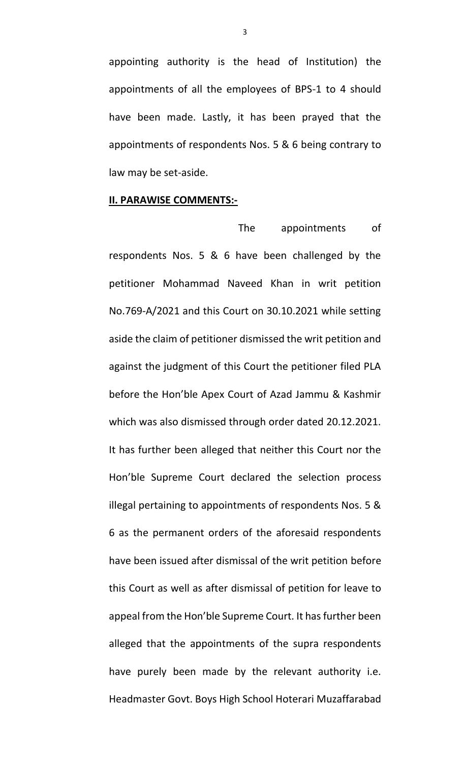appointing authority is the head of Institution) the appointments of all the employees of BPS-1 to 4 should have been made. Lastly, it has been prayed that the appointments of respondents Nos. 5 & 6 being contrary to law may be set-aside.

#### **II. PARAWISE COMMENTS:-**

 The appointments of respondents Nos. 5 & 6 have been challenged by the petitioner Mohammad Naveed Khan in writ petition No.769-A/2021 and this Court on 30.10.2021 while setting aside the claim of petitioner dismissed the writ petition and against the judgment of this Court the petitioner filed PLA before the Hon'ble Apex Court of Azad Jammu & Kashmir which was also dismissed through order dated 20.12.2021. It has further been alleged that neither this Court nor the Hon'ble Supreme Court declared the selection process illegal pertaining to appointments of respondents Nos. 5 & 6 as the permanent orders of the aforesaid respondents have been issued after dismissal of the writ petition before this Court as well as after dismissal of petition for leave to appeal from the Hon'ble Supreme Court. It has further been alleged that the appointments of the supra respondents have purely been made by the relevant authority i.e. Headmaster Govt. Boys High School Hoterari Muzaffarabad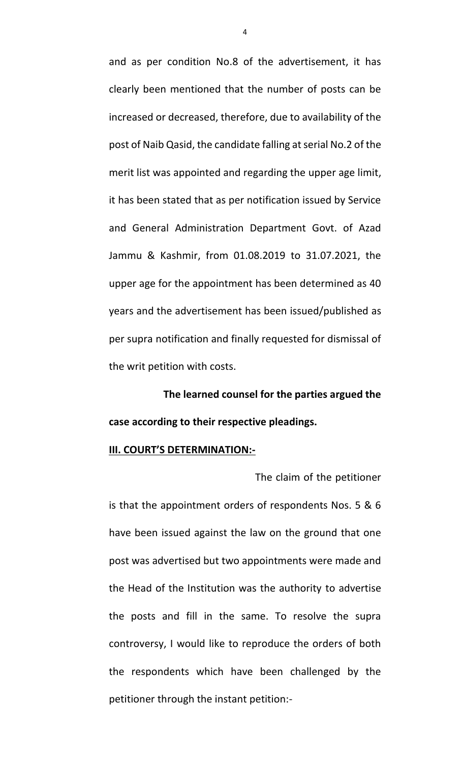and as per condition No.8 of the advertisement, it has clearly been mentioned that the number of posts can be increased or decreased, therefore, due to availability of the post of Naib Qasid, the candidate falling at serial No.2 of the merit list was appointed and regarding the upper age limit, it has been stated that as per notification issued by Service and General Administration Department Govt. of Azad Jammu & Kashmir, from 01.08.2019 to 31.07.2021, the upper age for the appointment has been determined as 40 years and the advertisement has been issued/published as per supra notification and finally requested for dismissal of the writ petition with costs.

**The learned counsel for the parties argued the case according to their respective pleadings.** 

#### **III. COURT'S DETERMINATION:-**

 The claim of the petitioner is that the appointment orders of respondents Nos. 5 & 6 have been issued against the law on the ground that one post was advertised but two appointments were made and the Head of the Institution was the authority to advertise the posts and fill in the same. To resolve the supra controversy, I would like to reproduce the orders of both the respondents which have been challenged by the petitioner through the instant petition:-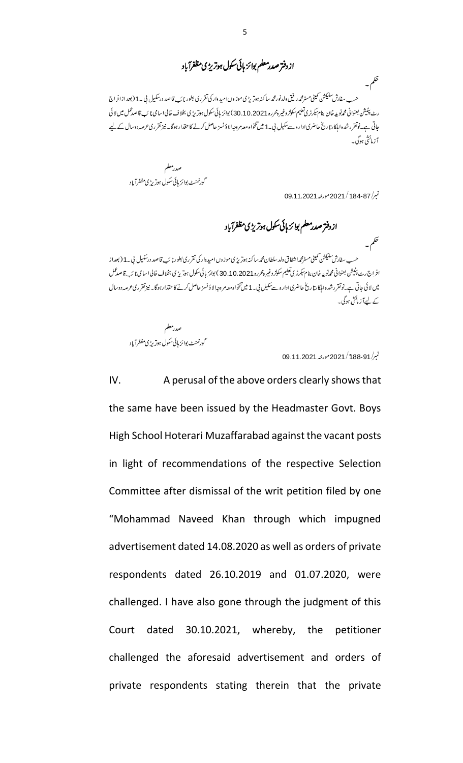ازدفتر صدر معلم بوائز ہائی سکول ہوتریڑی مظفرآباد

تھم۔ ۔<br>حسب سفارش سلیکشن تمیٹی مسٹرمحمدر فیق ولدنورمحم*ر سا*کنہ ہوتریڑی موز وںامید دار کی تقرری بطور نائب قاصد درسکیل نی ۔1 (بعدازاخراج رٹ پٹیشن بعنوانی محم**رنو پ**رخان بنام سکرٹری تعلیم سکولز وغیرہ <sub>2</sub>6 رو 30.10.2021 بوائز ہائی سکول ہوتر پڑی بخلاف خالی اسامی نا ئب قاصدعمل میں لائی جاتی ہے۔نوتقررشدہ اہلکارتاریخ حاضری ادارہ سےسکیل پی 1 میں تنخواہ معہ مردجہ الا دُنسز حاصل کرنے کاحقدار ہوگا۔ نیزتقرری عرصہ دوسال کے لیے 7 زما<sup>ئی</sup>ش ہوگی۔

صدرمعلم گورنمنٹ بوائز ہائی سکول ہوتر پڑی مظفرآ باد

نېبر/ 184-87 / 2021 مورنپه 2021.1.2021

تھم۔

ازدفتر صدر معلم بوائز ہائی سکول ہوتر یڑی مظفرآ باد

حسب سفارش سل<del>یکش</del> تمینی مسٹرمحم**راشفاق دلد سلطان محم**ر ساکنہ ہوتریڑ می موزوں امیدوار کی تقرری بطور نائب قاصد درسکیل نی ۔1 ( بعداز اخراج رٹ پٹیشن بعنوانی محمدنو پدخان بنام سکرٹری تعلیم سکولز وغیرہ محررہ 20210.2011 ) بوائز ہائی سکول ہوتریڑی بخلاف خالیا اسامی نائب قاصدممل میں لائی جاتی ہے۔نوتقررشدہ ابلکارتاریخ حاضری ادارہ سےسکیل بی 1 میں تنخواہ معہ م وحدالا دُنسز حاصل کرنے کا حقدار ہوگا۔ نیزتقرری عرصہ دوسال کے لیےآز مائشی ہوگی۔

صدرمعلم گورنمنٹ بوائز ہائی سکول ہوتر پڑی مظفرآ باد

نېبر/ 188-91 / 2021 مورنيه 2021.1.2031

IV. A perusal of the above orders clearly shows that the same have been issued by the Headmaster Govt. Boys High School Hoterari Muzaffarabad against the vacant posts in light of recommendations of the respective Selection Committee after dismissal of the writ petition filed by one "Mohammad Naveed Khan through which impugned advertisement dated 14.08.2020 as well as orders of private respondents dated 26.10.2019 and 01.07.2020, were challenged. I have also gone through the judgment of this Court dated 30.10.2021, whereby, the petitioner challenged the aforesaid advertisement and orders of private respondents stating therein that the private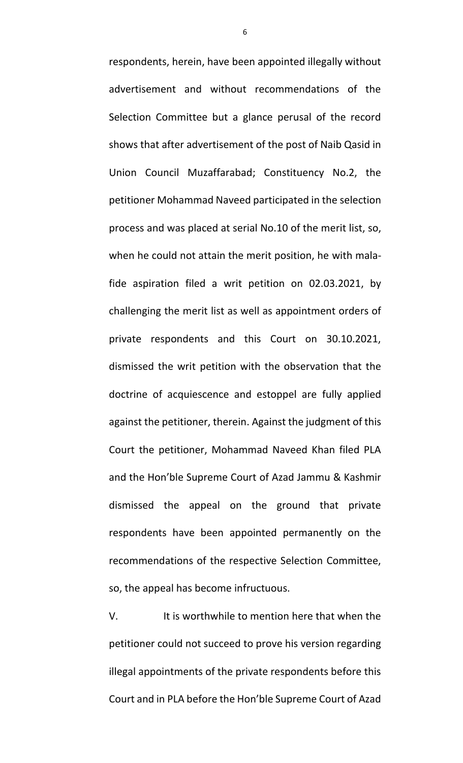respondents, herein, have been appointed illegally without advertisement and without recommendations of the Selection Committee but a glance perusal of the record shows that after advertisement of the post of Naib Qasid in Union Council Muzaffarabad; Constituency No.2, the petitioner Mohammad Naveed participated in the selection process and was placed at serial No.10 of the merit list, so, when he could not attain the merit position, he with malafide aspiration filed a writ petition on 02.03.2021, by challenging the merit list as well as appointment orders of private respondents and this Court on 30.10.2021, dismissed the writ petition with the observation that the doctrine of acquiescence and estoppel are fully applied against the petitioner, therein. Against the judgment of this Court the petitioner, Mohammad Naveed Khan filed PLA and the Hon'ble Supreme Court of Azad Jammu & Kashmir dismissed the appeal on the ground that private respondents have been appointed permanently on the recommendations of the respective Selection Committee, so, the appeal has become infructuous.

V. It is worthwhile to mention here that when the petitioner could not succeed to prove his version regarding illegal appointments of the private respondents before this Court and in PLA before the Hon'ble Supreme Court of Azad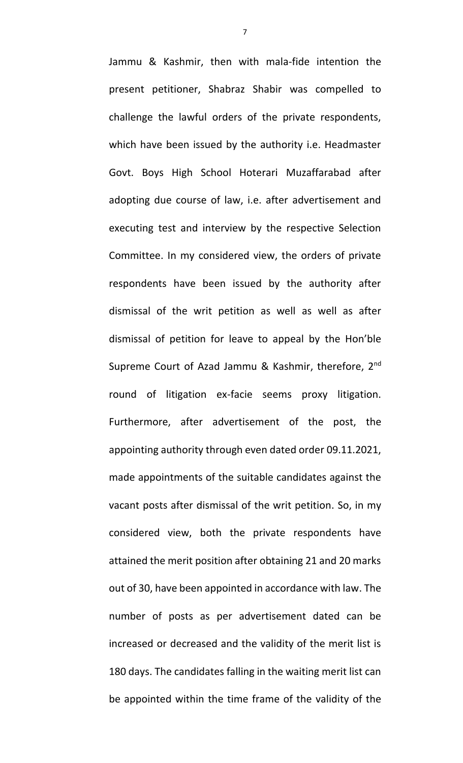Jammu & Kashmir, then with mala-fide intention the present petitioner, Shabraz Shabir was compelled to challenge the lawful orders of the private respondents, which have been issued by the authority i.e. Headmaster Govt. Boys High School Hoterari Muzaffarabad after adopting due course of law, i.e. after advertisement and executing test and interview by the respective Selection Committee. In my considered view, the orders of private respondents have been issued by the authority after dismissal of the writ petition as well as well as after dismissal of petition for leave to appeal by the Hon'ble Supreme Court of Azad Jammu & Kashmir, therefore, 2nd round of litigation ex-facie seems proxy litigation. Furthermore, after advertisement of the post, the appointing authority through even dated order 09.11.2021, made appointments of the suitable candidates against the vacant posts after dismissal of the writ petition. So, in my considered view, both the private respondents have attained the merit position after obtaining 21 and 20 marks out of 30, have been appointed in accordance with law. The number of posts as per advertisement dated can be increased or decreased and the validity of the merit list is 180 days. The candidates falling in the waiting merit list can be appointed within the time frame of the validity of the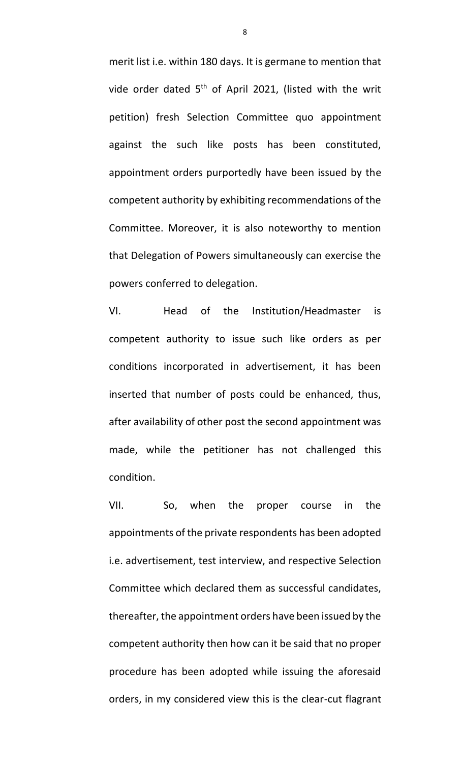merit list i.e. within 180 days. It is germane to mention that vide order dated  $5<sup>th</sup>$  of April 2021, (listed with the writ petition) fresh Selection Committee quo appointment against the such like posts has been constituted, appointment orders purportedly have been issued by the competent authority by exhibiting recommendations of the Committee. Moreover, it is also noteworthy to mention that Delegation of Powers simultaneously can exercise the powers conferred to delegation.

VI. Head of the Institution/Headmaster is competent authority to issue such like orders as per conditions incorporated in advertisement, it has been inserted that number of posts could be enhanced, thus, after availability of other post the second appointment was made, while the petitioner has not challenged this condition.

VII. So, when the proper course in the appointments of the private respondents has been adopted i.e. advertisement, test interview, and respective Selection Committee which declared them as successful candidates, thereafter, the appointment orders have been issued by the competent authority then how can it be said that no proper procedure has been adopted while issuing the aforesaid orders, in my considered view this is the clear-cut flagrant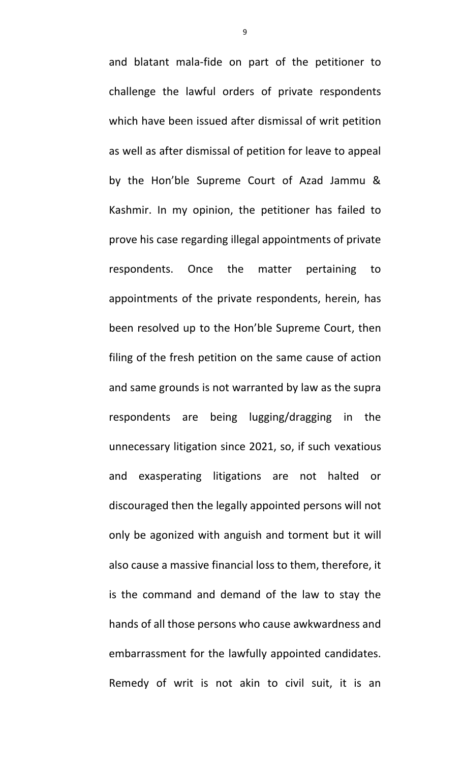and blatant mala-fide on part of the petitioner to challenge the lawful orders of private respondents which have been issued after dismissal of writ petition as well as after dismissal of petition for leave to appeal by the Hon'ble Supreme Court of Azad Jammu & Kashmir. In my opinion, the petitioner has failed to prove his case regarding illegal appointments of private respondents. Once the matter pertaining to appointments of the private respondents, herein, has been resolved up to the Hon'ble Supreme Court, then filing of the fresh petition on the same cause of action and same grounds is not warranted by law as the supra respondents are being lugging/dragging in the unnecessary litigation since 2021, so, if such vexatious and exasperating litigations are not halted or discouraged then the legally appointed persons will not only be agonized with anguish and torment but it will also cause a massive financial loss to them, therefore, it is the command and demand of the law to stay the hands of all those persons who cause awkwardness and embarrassment for the lawfully appointed candidates. Remedy of writ is not akin to civil suit, it is an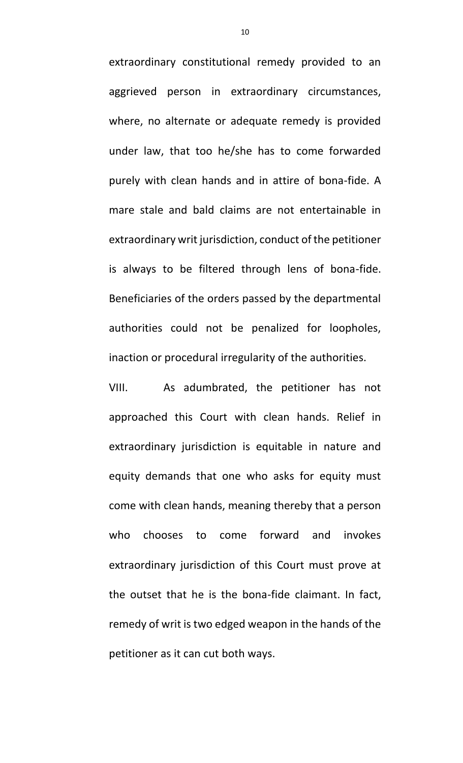extraordinary constitutional remedy provided to an aggrieved person in extraordinary circumstances, where, no alternate or adequate remedy is provided under law, that too he/she has to come forwarded purely with clean hands and in attire of bona-fide. A mare stale and bald claims are not entertainable in extraordinary writ jurisdiction, conduct of the petitioner is always to be filtered through lens of bona-fide. Beneficiaries of the orders passed by the departmental authorities could not be penalized for loopholes, inaction or procedural irregularity of the authorities.

VIII. As adumbrated, the petitioner has not approached this Court with clean hands. Relief in extraordinary jurisdiction is equitable in nature and equity demands that one who asks for equity must come with clean hands, meaning thereby that a person who chooses to come forward and invokes extraordinary jurisdiction of this Court must prove at the outset that he is the bona-fide claimant. In fact, remedy of writ is two edged weapon in the hands of the petitioner as it can cut both ways.